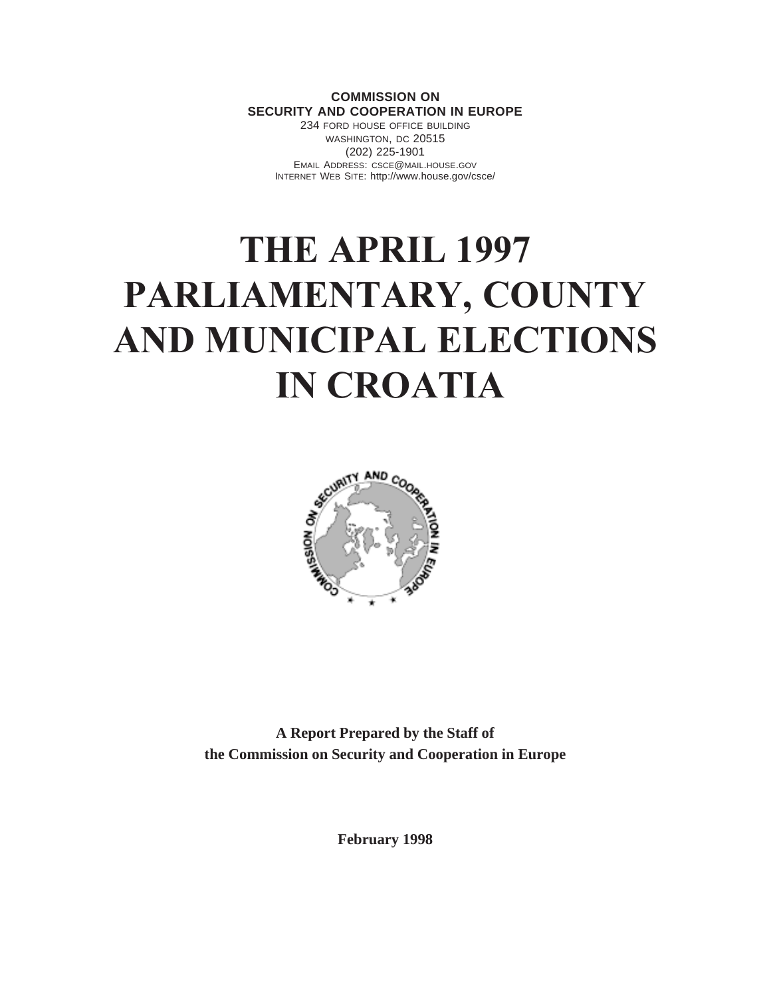## **COMMISSION ON SECURITY AND COOPERATION IN EUROPE**

234 FORD HOUSE OFFICE BUILDING WASHINGTON, DC 20515 (202) 225-1901 EMAIL ADDRESS: CSCE@MAIL.HOUSE.GOV INTERNET WEB SITE: http://www.house.gov/csce/

# **THE APRIL 1997 PARLIAMENTARY, COUNTY AND MUNICIPAL ELECTIONS IN CROATIA**



**A Report Prepared by the Staff of the Commission on Security and Cooperation in Europe**

**February 1998**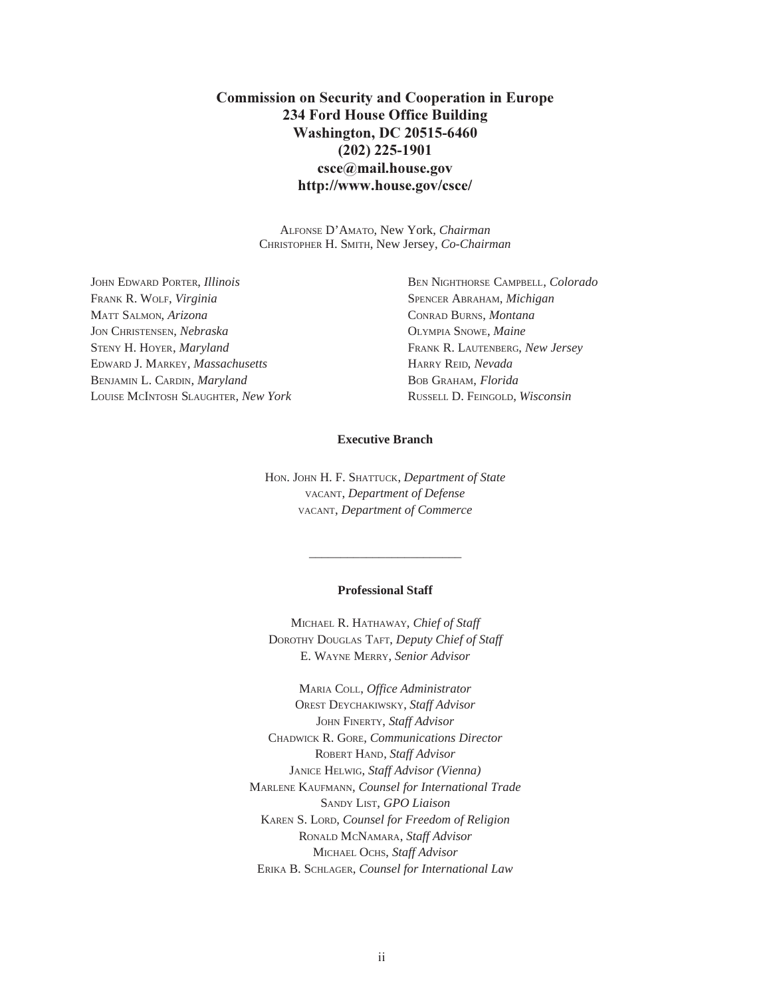# **Commission on Security and Cooperation in Europe 234 Ford House Office Building Washington, DC 20515-6460 (202) 225-1901 csce@mail.house.gov http://www.house.gov/csce/**

ALFONSE D'AMATO, New York, *Chairman* CHRISTOPHER H. SMITH, New Jersey, *Co-Chairman*

FRANK R. WOLF, *Virginia* SPENCER ABRAHAM, *Michigan* MATT SALMON, *Arizona* CONRAD BURNS, *Montana* JON CHRISTENSEN, *Nebraska* OLYMPIA SNOWE, *Maine* STENY H. HOYER, *Maryland* FRANK R. LAUTENBERG, *New Jersey* EDWARD J. MARKEY, *Massachusetts* HARRY REID, *Nevada* BENJAMIN L. CARDIN, *Maryland* BOB GRAHAM, *Florida* LOUISE MCINTOSH SLAUGHTER, *New York* RUSSELL D. FEINGOLD, *Wisconsin*

JOHN EDWARD PORTER, *Illinois* BEN NIGHTHORSE CAMPBELL, *Colorado*

## **Executive Branch**

HON. JOHN H. F. SHATTUCK, *Department of State* VACANT, *Department of Defense* VACANT, *Department of Commerce*

#### **Professional Staff**

\_\_\_\_\_\_\_\_\_\_\_\_\_\_\_\_\_\_\_\_\_\_\_\_

MICHAEL R. HATHAWAY, *Chief of Staff* DOROTHY DOUGLAS TAFT, *Deputy Chief of Staff* E. WAYNE MERRY, *Senior Advisor*

MARIA COLL, *Office Administrator* OREST DEYCHAKIWSKY, *Staff Advisor* JOHN FINERTY, *Staff Advisor* CHADWICK R. GORE, *Communications Director* ROBERT HAND, *Staff Advisor* JANICE HELWIG, *Staff Advisor (Vienna)* MARLENE KAUFMANN, *Counsel for International Trade* SANDY LIST, *GPO Liaison* KAREN S. LORD, *Counsel for Freedom of Religion* RONALD MCNAMARA, *Staff Advisor* MICHAEL OCHS, *Staff Advisor* ERIKA B. SCHLAGER, *Counsel for International Law*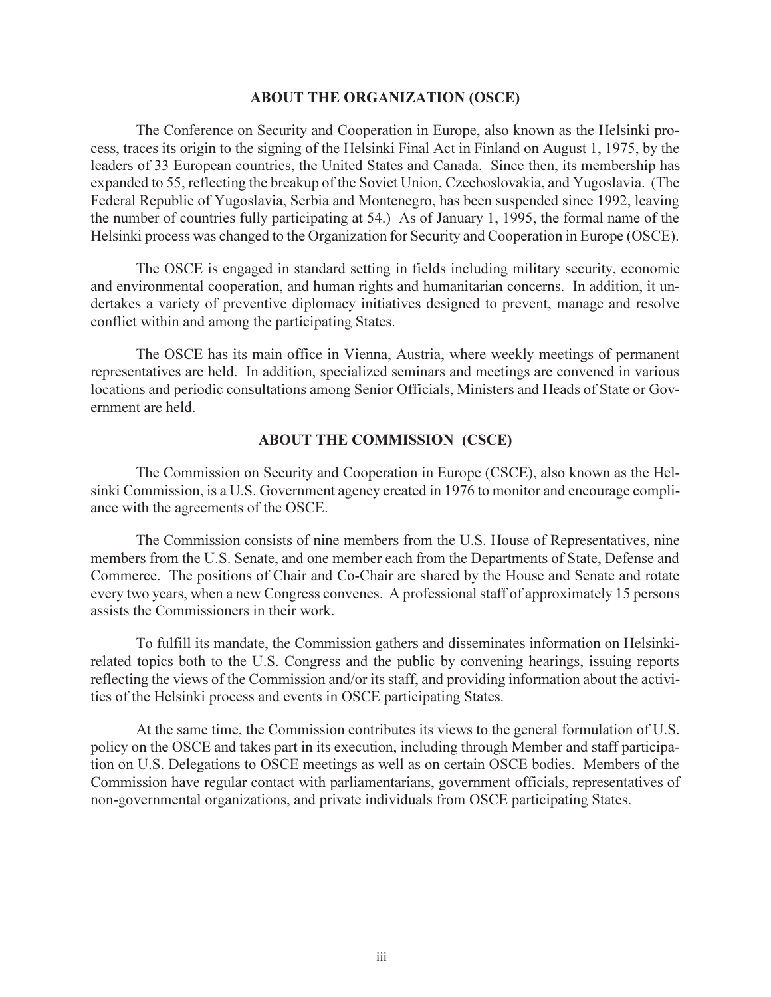## **ABOUT THE ORGANIZATION (OSCE)**

The Conference on Security and Cooperation in Europe, also known as the Helsinki process, traces its origin to the signing of the Helsinki Final Act in Finland on August 1, 1975, by the leaders of 33 European countries, the United States and Canada. Since then, its membership has expanded to 55, reflecting the breakup of the Soviet Union, Czechoslovakia, and Yugoslavia. (The Federal Republic of Yugoslavia, Serbia and Montenegro, has been suspended since 1992, leaving the number of countries fully participating at 54.) As of January 1, 1995, the formal name of the Helsinki process was changed to the Organization for Security and Cooperation in Europe (OSCE).

The OSCE is engaged in standard setting in fields including military security, economic and environmental cooperation, and human rights and humanitarian concerns. In addition, it undertakes a variety of preventive diplomacy initiatives designed to prevent, manage and resolve conflict within and among the participating States.

The OSCE has its main office in Vienna, Austria, where weekly meetings of permanent representatives are held. In addition, specialized seminars and meetings are convened in various locations and periodic consultations among Senior Officials, Ministers and Heads of State or Government are held.

## **ABOUT THE COMMISSION (CSCE)**

The Commission on Security and Cooperation in Europe (CSCE), also known as the Helsinki Commission, is a U.S. Government agency created in 1976 to monitor and encourage compliance with the agreements of the OSCE.

The Commission consists of nine members from the U.S. House of Representatives, nine members from the U.S. Senate, and one member each from the Departments of State, Defense and Commerce. The positions of Chair and Co-Chair are shared by the House and Senate and rotate every two years, when a new Congress convenes. A professional staff of approximately 15 persons assists the Commissioners in their work.

To fulfill its mandate, the Commission gathers and disseminates information on Helsinkirelated topics both to the U.S. Congress and the public by convening hearings, issuing reports reflecting the views of the Commission and/or its staff, and providing information about the activities of the Helsinki process and events in OSCE participating States.

At the same time, the Commission contributes its views to the general formulation of U.S. policy on the OSCE and takes part in its execution, including through Member and staff participation on U.S. Delegations to OSCE meetings as well as on certain OSCE bodies. Members of the Commission have regular contact with parliamentarians, government officials, representatives of non-governmental organizations, and private individuals from OSCE participating States.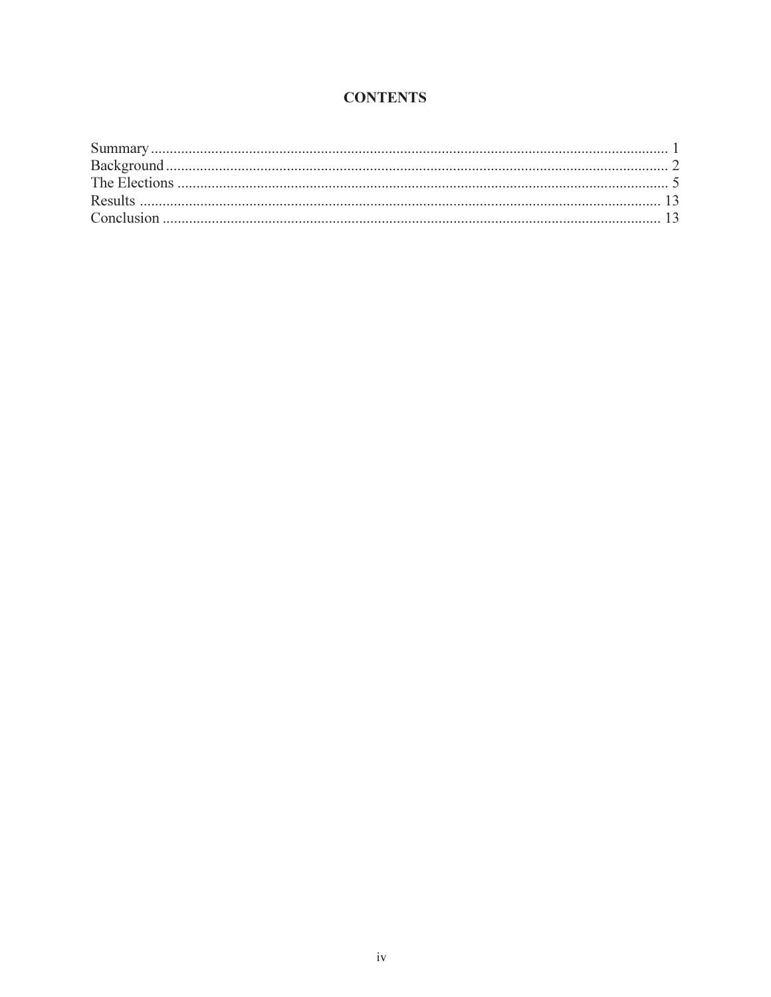# **CONTENTS**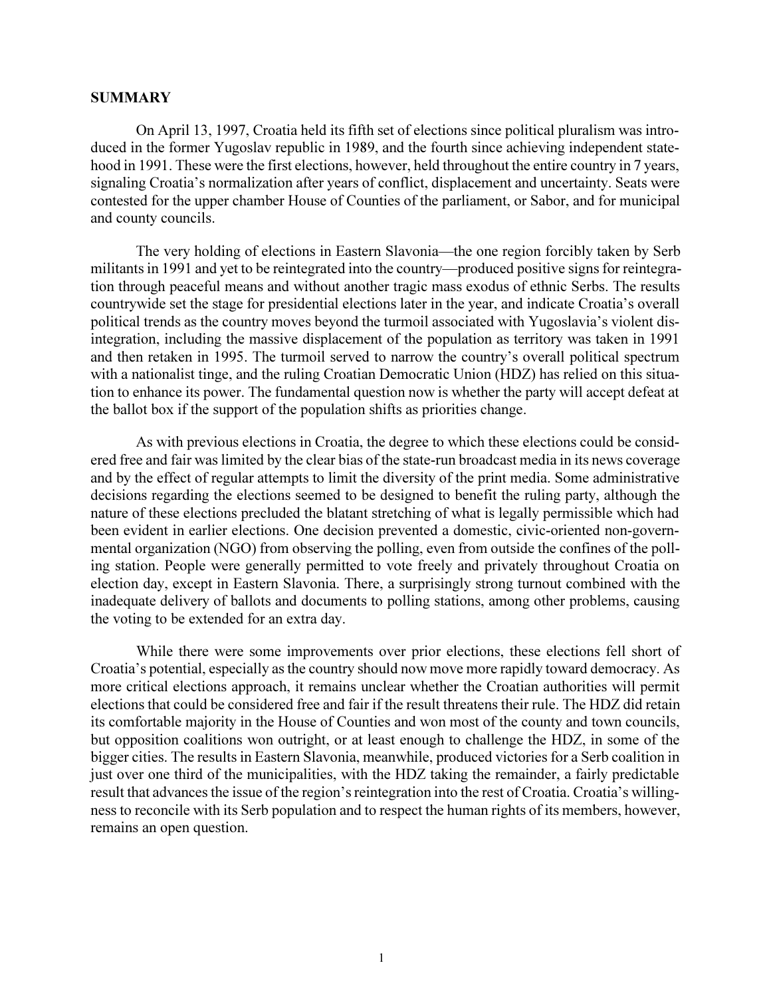## **SUMMARY**

On April 13, 1997, Croatia held its fifth set of elections since political pluralism was introduced in the former Yugoslav republic in 1989, and the fourth since achieving independent statehood in 1991. These were the first elections, however, held throughout the entire country in 7 years, signaling Croatia's normalization after years of conflict, displacement and uncertainty. Seats were contested for the upper chamber House of Counties of the parliament, or Sabor, and for municipal and county councils.

The very holding of elections in Eastern Slavonia-the one region forcibly taken by Serb militants in 1991 and yet to be reintegrated into the country—produced positive signs for reintegration through peaceful means and without another tragic mass exodus of ethnic Serbs. The results countrywide set the stage for presidential elections later in the year, and indicate Croatia's overall political trends as the country moves beyond the turmoil associated with Yugoslavia's violent disintegration, including the massive displacement of the population as territory was taken in 1991 and then retaken in 1995. The turmoil served to narrow the country's overall political spectrum with a nationalist tinge, and the ruling Croatian Democratic Union (HDZ) has relied on this situation to enhance its power. The fundamental question now is whether the party will accept defeat at the ballot box if the support of the population shifts as priorities change.

As with previous elections in Croatia, the degree to which these elections could be considered free and fair was limited by the clear bias of the state-run broadcast media in its news coverage and by the effect of regular attempts to limit the diversity of the print media. Some administrative decisions regarding the elections seemed to be designed to benefit the ruling party, although the nature of these elections precluded the blatant stretching of what is legally permissible which had been evident in earlier elections. One decision prevented a domestic, civic-oriented non-governmental organization (NGO) from observing the polling, even from outside the confines of the polling station. People were generally permitted to vote freely and privately throughout Croatia on election day, except in Eastern Slavonia. There, a surprisingly strong turnout combined with the inadequate delivery of ballots and documents to polling stations, among other problems, causing the voting to be extended for an extra day.

While there were some improvements over prior elections, these elections fell short of Croatia's potential, especially as the country should now move more rapidly toward democracy. As more critical elections approach, it remains unclear whether the Croatian authorities will permit elections that could be considered free and fair if the result threatens their rule. The HDZ did retain its comfortable majority in the House of Counties and won most of the county and town councils, but opposition coalitions won outright, or at least enough to challenge the HDZ, in some of the bigger cities. The results in Eastern Slavonia, meanwhile, produced victories for a Serb coalition in just over one third of the municipalities, with the HDZ taking the remainder, a fairly predictable result that advances the issue of the region's reintegration into the rest of Croatia. Croatia's willingness to reconcile with its Serb population and to respect the human rights of its members, however, remains an open question.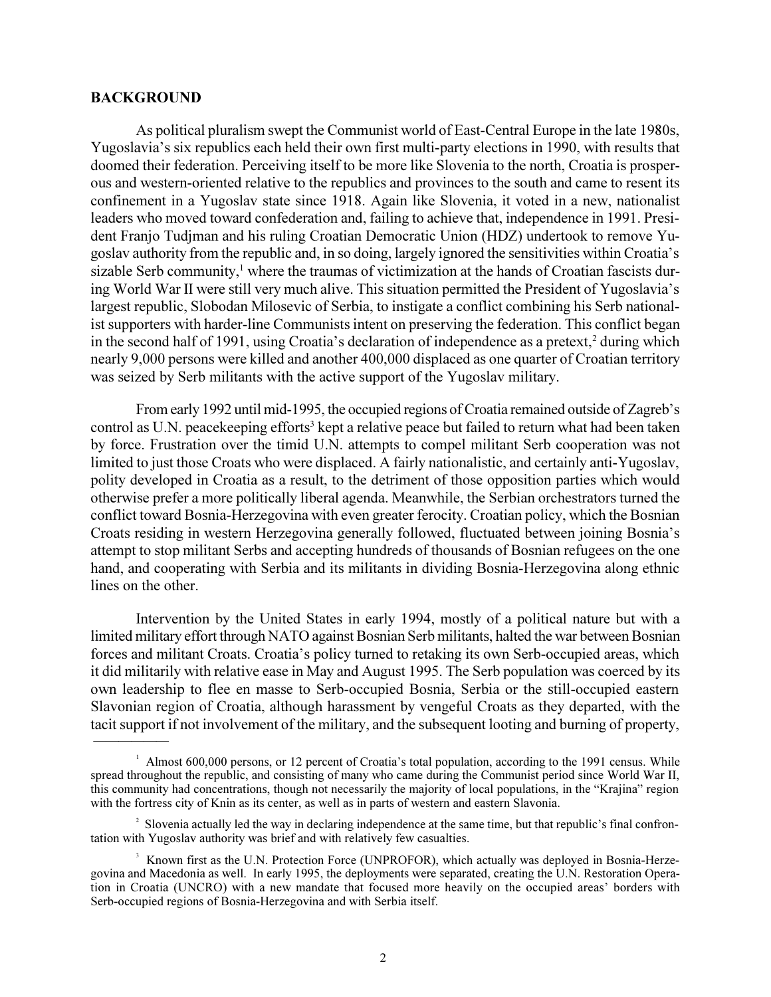## **BACKGROUND**

As political pluralism swept the Communist world of East-Central Europe in the late 1980s, Yugoslavia's six republics each held their own first multi-party elections in 1990, with results that doomed their federation. Perceiving itself to be more like Slovenia to the north, Croatia is prosperous and western-oriented relative to the republics and provinces to the south and came to resent its confinement in a Yugoslav state since 1918. Again like Slovenia, it voted in a new, nationalist leaders who moved toward confederation and, failing to achieve that, independence in 1991. President Franjo Tudjman and his ruling Croatian Democratic Union (HDZ) undertook to remove Yugoslav authority from the republic and, in so doing, largely ignored the sensitivities within Croatia's sizable Serb community,<sup>1</sup> where the traumas of victimization at the hands of Croatian fascists during World War II were still very much alive. This situation permitted the President of Yugoslavia's largest republic, Slobodan Milosevic of Serbia, to instigate a conflict combining his Serb nationalist supporters with harder-line Communists intent on preserving the federation. This conflict began in the second half of 1991, using Croatia's declaration of independence as a pretext,<sup>2</sup> during which nearly 9,000 persons were killed and another 400,000 displaced as one quarter of Croatian territory was seized by Serb militants with the active support of the Yugoslav military.

From early 1992 until mid-1995, the occupied regions of Croatia remained outside of Zagreb's control as U.N. peacekeeping efforts<sup>3</sup> kept a relative peace but failed to return what had been taken by force. Frustration over the timid U.N. attempts to compel militant Serb cooperation was not limited to just those Croats who were displaced. A fairly nationalistic, and certainly anti-Yugoslav, polity developed in Croatia as a result, to the detriment of those opposition parties which would otherwise prefer a more politically liberal agenda. Meanwhile, the Serbian orchestrators turned the conflict toward Bosnia-Herzegovina with even greater ferocity. Croatian policy, which the Bosnian Croats residing in western Herzegovina generally followed, fluctuated between joining Bosnia's attempt to stop militant Serbs and accepting hundreds of thousands of Bosnian refugees on the one hand, and cooperating with Serbia and its militants in dividing Bosnia-Herzegovina along ethnic lines on the other.

Intervention by the United States in early 1994, mostly of a political nature but with a limited military effort through NATO against Bosnian Serb militants, halted the war between Bosnian forces and militant Croats. Croatia's policy turned to retaking its own Serb-occupied areas, which it did militarily with relative ease in May and August 1995. The Serb population was coerced by its own leadership to flee en masse to Serb-occupied Bosnia, Serbia or the still-occupied eastern Slavonian region of Croatia, although harassment by vengeful Croats as they departed, with the tacit support if not involvement of the military, and the subsequent looting and burning of property,

<sup>&</sup>lt;sup>1</sup> Almost 600,000 persons, or 12 percent of Croatia's total population, according to the 1991 census. While spread throughout the republic, and consisting of many who came during the Communist period since World War II, this community had concentrations, though not necessarily the majority of local populations, in the "Krajina" region with the fortress city of Knin as its center, as well as in parts of western and eastern Slavonia.

 $2^2$  Slovenia actually led the way in declaring independence at the same time, but that republic's final confrontation with Yugoslav authority was brief and with relatively few casualties.

<sup>&</sup>lt;sup>3</sup> Known first as the U.N. Protection Force (UNPROFOR), which actually was deployed in Bosnia-Herzegovina and Macedonia as well. In early 1995, the deployments were separated, creating the U.N. Restoration Operation in Croatia (UNCRO) with a new mandate that focused more heavily on the occupied areas borders with Serb-occupied regions of Bosnia-Herzegovina and with Serbia itself.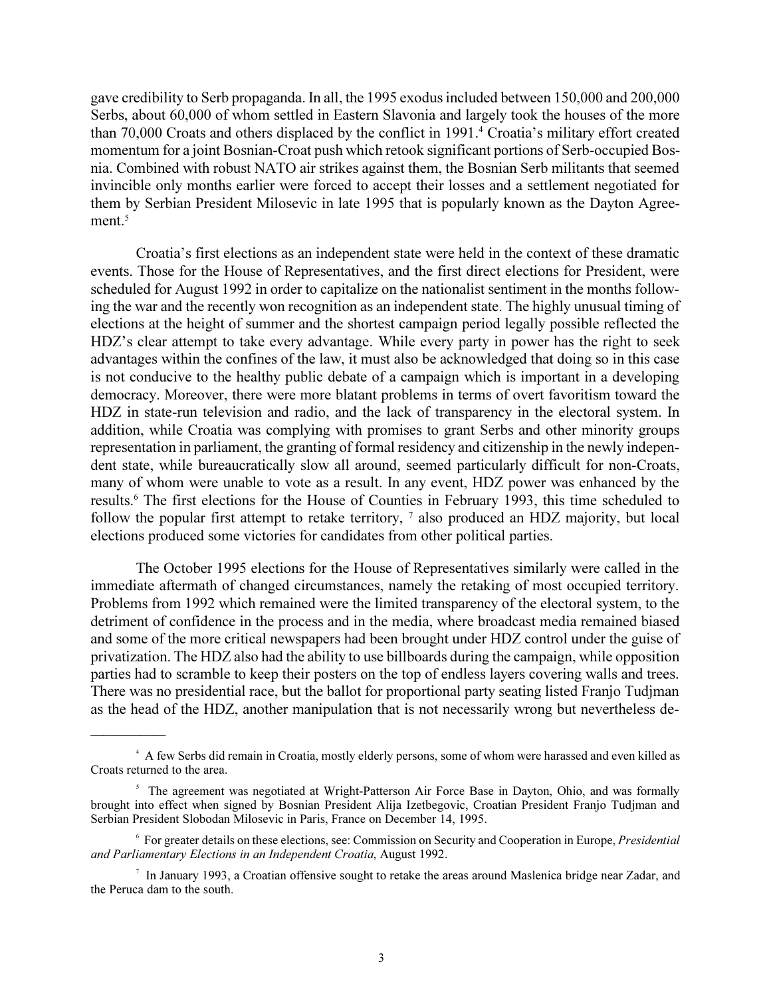gave credibility to Serb propaganda. In all, the 1995 exodus included between 150,000 and 200,000 Serbs, about 60,000 of whom settled in Eastern Slavonia and largely took the houses of the more than 70,000 Croats and others displaced by the conflict in 1991.<sup>4</sup> Croatia's military effort created momentum for a joint Bosnian-Croat push which retook significant portions of Serb-occupied Bosnia. Combined with robust NATO air strikes against them, the Bosnian Serb militants that seemed invincible only months earlier were forced to accept their losses and a settlement negotiated for them by Serbian President Milosevic in late 1995 that is popularly known as the Dayton Agreement.<sup>5</sup>

Croatia's first elections as an independent state were held in the context of these dramatic events. Those for the House of Representatives, and the first direct elections for President, were scheduled for August 1992 in order to capitalize on the nationalist sentiment in the months following the war and the recently won recognition as an independent state. The highly unusual timing of elections at the height of summer and the shortest campaign period legally possible reflected the HDZ's clear attempt to take every advantage. While every party in power has the right to seek advantages within the confines of the law, it must also be acknowledged that doing so in this case is not conducive to the healthy public debate of a campaign which is important in a developing democracy. Moreover, there were more blatant problems in terms of overt favoritism toward the HDZ in state-run television and radio, and the lack of transparency in the electoral system. In addition, while Croatia was complying with promises to grant Serbs and other minority groups representation in parliament, the granting of formal residency and citizenship in the newly independent state, while bureaucratically slow all around, seemed particularly difficult for non-Croats, many of whom were unable to vote as a result. In any event, HDZ power was enhanced by the results.<sup>6</sup> The first elections for the House of Counties in February 1993, this time scheduled to follow the popular first attempt to retake territory, <sup>7</sup> also produced an HDZ majority, but local elections produced some victories for candidates from other political parties.

The October 1995 elections for the House of Representatives similarly were called in the immediate aftermath of changed circumstances, namely the retaking of most occupied territory. Problems from 1992 which remained were the limited transparency of the electoral system, to the detriment of confidence in the process and in the media, where broadcast media remained biased and some of the more critical newspapers had been brought under HDZ control under the guise of privatization. The HDZ also had the ability to use billboards during the campaign, while opposition parties had to scramble to keep their posters on the top of endless layers covering walls and trees. There was no presidential race, but the ballot for proportional party seating listed Franjo Tudjman as the head of the HDZ, another manipulation that is not necessarily wrong but nevertheless de-

 $\overline{\phantom{a}}$ 

<sup>4</sup> A few Serbs did remain in Croatia, mostly elderly persons, some of whom were harassed and even killed as Croats returned to the area.

<sup>&</sup>lt;sup>5</sup> The agreement was negotiated at Wright-Patterson Air Force Base in Dayton, Ohio, and was formally brought into effect when signed by Bosnian President Alija Izetbegovic, Croatian President Franjo Tudjman and Serbian President Slobodan Milosevic in Paris, France on December 14, 1995.

<sup>6</sup> For greater details on these elections, see: Commission on Security and Cooperation in Europe, *Presidential and Parliamentary Elections in an Independent Croatia*, August 1992.

<sup>&</sup>lt;sup>7</sup> In January 1993, a Croatian offensive sought to retake the areas around Maslenica bridge near Zadar, and the Peruca dam to the south.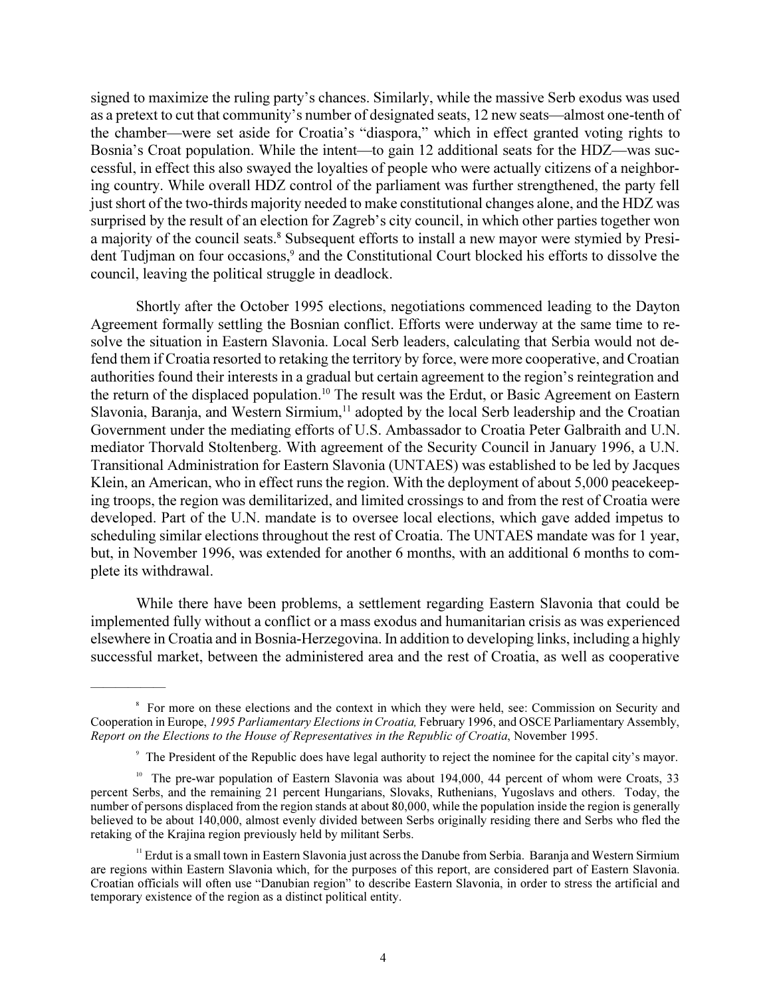signed to maximize the ruling party's chances. Similarly, while the massive Serb exodus was used as a pretext to cut that community's number of designated seats, 12 new seats—almost one-tenth of the chamber—were set aside for Croatia's "diaspora," which in effect granted voting rights to Bosnia's Croat population. While the intent—to gain 12 additional seats for the HDZ—was successful, in effect this also swayed the loyalties of people who were actually citizens of a neighboring country. While overall HDZ control of the parliament was further strengthened, the party fell just short of the two-thirds majority needed to make constitutional changes alone, and the HDZ was surprised by the result of an election for Zagreb's city council, in which other parties together won a majority of the council seats.<sup>8</sup> Subsequent efforts to install a new mayor were stymied by President Tudjman on four occasions,<sup>9</sup> and the Constitutional Court blocked his efforts to dissolve the council, leaving the political struggle in deadlock.

Shortly after the October 1995 elections, negotiations commenced leading to the Dayton Agreement formally settling the Bosnian conflict. Efforts were underway at the same time to resolve the situation in Eastern Slavonia. Local Serb leaders, calculating that Serbia would not defend them if Croatia resorted to retaking the territory by force, were more cooperative, and Croatian authorities found their interests in a gradual but certain agreement to the region's reintegration and the return of the displaced population.<sup>10</sup> The result was the Erdut, or Basic Agreement on Eastern Slavonia, Baranja, and Western Sirmium,<sup>11</sup> adopted by the local Serb leadership and the Croatian Government under the mediating efforts of U.S. Ambassador to Croatia Peter Galbraith and U.N. mediator Thorvald Stoltenberg. With agreement of the Security Council in January 1996, a U.N. Transitional Administration for Eastern Slavonia (UNTAES) was established to be led by Jacques Klein, an American, who in effect runs the region. With the deployment of about 5,000 peacekeeping troops, the region was demilitarized, and limited crossings to and from the rest of Croatia were developed. Part of the U.N. mandate is to oversee local elections, which gave added impetus to scheduling similar elections throughout the rest of Croatia. The UNTAES mandate was for 1 year, but, in November 1996, was extended for another 6 months, with an additional 6 months to complete its withdrawal.

While there have been problems, a settlement regarding Eastern Slavonia that could be implemented fully without a conflict or a mass exodus and humanitarian crisis as was experienced elsewhere in Croatia and in Bosnia-Herzegovina. In addition to developing links, including a highly successful market, between the administered area and the rest of Croatia, as well as cooperative

 $\overline{\phantom{a}}$ 

<sup>&</sup>lt;sup>8</sup> For more on these elections and the context in which they were held, see: Commission on Security and Cooperation in Europe, *1995 Parliamentary Elections in Croatia,* February 1996, and OSCE Parliamentary Assembly, *Report on the Elections to the House of Representatives in the Republic of Croatia*, November 1995.

<sup>&</sup>lt;sup>9</sup> The President of the Republic does have legal authority to reject the nominee for the capital city's mayor.

<sup>&</sup>lt;sup>10</sup> The pre-war population of Eastern Slavonia was about 194,000, 44 percent of whom were Croats, 33 percent Serbs, and the remaining 21 percent Hungarians, Slovaks, Ruthenians, Yugoslavs and others. Today, the number of persons displaced from the region stands at about 80,000, while the population inside the region is generally believed to be about 140,000, almost evenly divided between Serbs originally residing there and Serbs who fled the retaking of the Krajina region previously held by militant Serbs.

<sup>&</sup>lt;sup>11</sup> Erdut is a small town in Eastern Slavonia just across the Danube from Serbia. Baranja and Western Sirmium are regions within Eastern Slavonia which, for the purposes of this report, are considered part of Eastern Slavonia. Croatian officials will often use "Danubian region" to describe Eastern Slavonia, in order to stress the artificial and temporary existence of the region as a distinct political entity.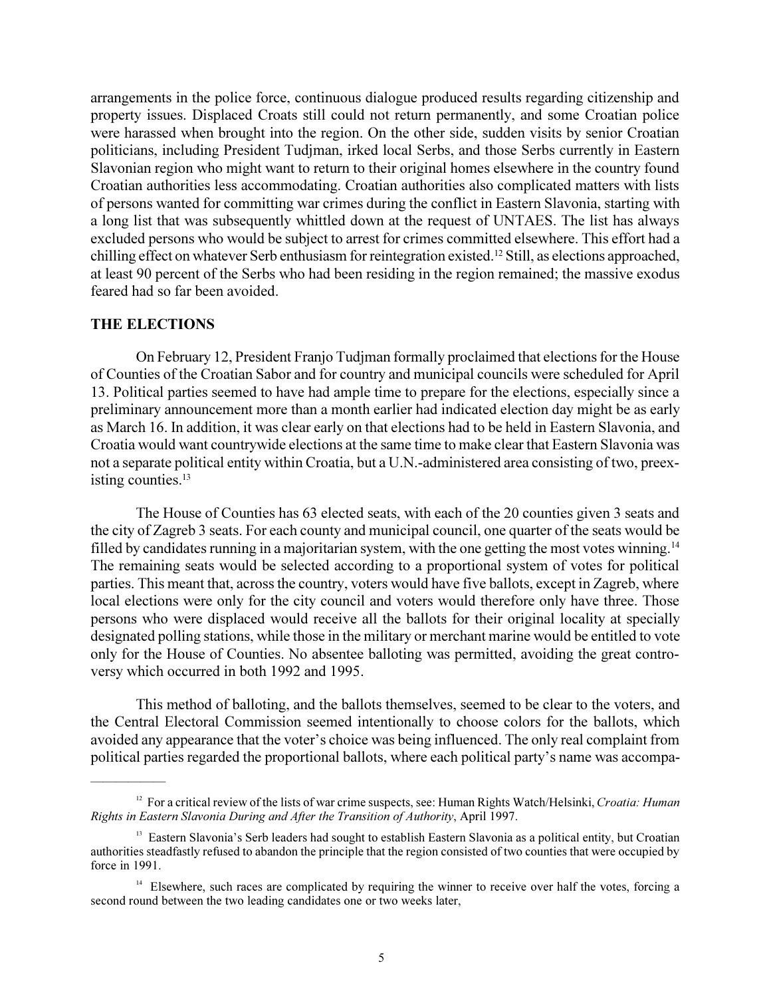arrangements in the police force, continuous dialogue produced results regarding citizenship and property issues. Displaced Croats still could not return permanently, and some Croatian police were harassed when brought into the region. On the other side, sudden visits by senior Croatian politicians, including President Tudjman, irked local Serbs, and those Serbs currently in Eastern Slavonian region who might want to return to their original homes elsewhere in the country found Croatian authorities less accommodating. Croatian authorities also complicated matters with lists of persons wanted for committing war crimes during the conflict in Eastern Slavonia, starting with a long list that was subsequently whittled down at the request of UNTAES. The list has always excluded persons who would be subject to arrest for crimes committed elsewhere. This effort had a chilling effect on whatever Serb enthusiasm for reintegration existed.<sup>12</sup> Still, as elections approached, at least 90 percent of the Serbs who had been residing in the region remained; the massive exodus feared had so far been avoided.

## **THE ELECTIONS**

 $\overline{\phantom{a}}$ 

On February 12, President Franjo Tudjman formally proclaimed that elections for the House of Counties of the Croatian Sabor and for country and municipal councils were scheduled for April 13. Political parties seemed to have had ample time to prepare for the elections, especially since a preliminary announcement more than a month earlier had indicated election day might be as early as March 16. In addition, it was clear early on that elections had to be held in Eastern Slavonia, and Croatia would want countrywide elections at the same time to make clear that Eastern Slavonia was not a separate political entity within Croatia, but a U.N.-administered area consisting of two, preexisting counties.<sup>13</sup>

The House of Counties has 63 elected seats, with each of the 20 counties given 3 seats and the city of Zagreb 3 seats. For each county and municipal council, one quarter of the seats would be filled by candidates running in a majoritarian system, with the one getting the most votes winning.<sup>14</sup> The remaining seats would be selected according to a proportional system of votes for political parties. This meant that, across the country, voters would have five ballots, except in Zagreb, where local elections were only for the city council and voters would therefore only have three. Those persons who were displaced would receive all the ballots for their original locality at specially designated polling stations, while those in the military or merchant marine would be entitled to vote only for the House of Counties. No absentee balloting was permitted, avoiding the great controversy which occurred in both 1992 and 1995.

This method of balloting, and the ballots themselves, seemed to be clear to the voters, and the Central Electoral Commission seemed intentionally to choose colors for the ballots, which avoided any appearance that the voter's choice was being influenced. The only real complaint from political parties regarded the proportional ballots, where each political party's name was accompa-

<sup>&</sup>lt;sup>12</sup> For a critical review of the lists of war crime suspects, see: Human Rights Watch/Helsinki, *Croatia: Human Rights in Eastern Slavonia During and After the Transition of Authority*, April 1997.

<sup>&</sup>lt;sup>13</sup> Eastern Slavonia's Serb leaders had sought to establish Eastern Slavonia as a political entity, but Croatian authorities steadfastly refused to abandon the principle that the region consisted of two counties that were occupied by force in 1991.

<sup>&</sup>lt;sup>14</sup> Elsewhere, such races are complicated by requiring the winner to receive over half the votes, forcing a second round between the two leading candidates one or two weeks later,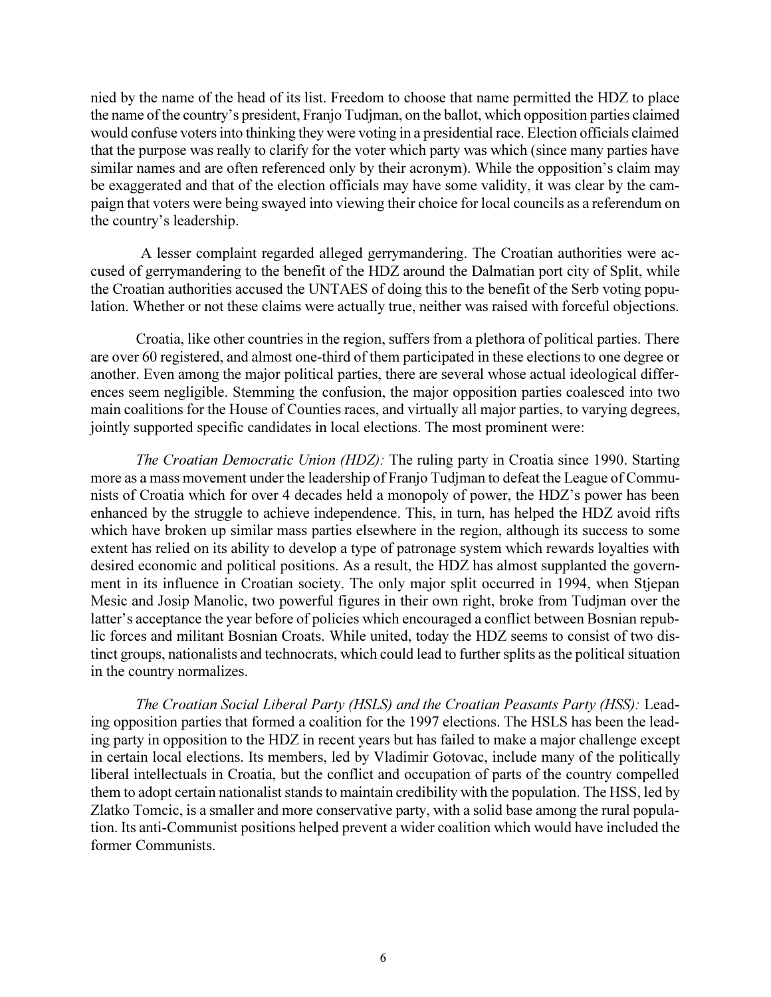nied by the name of the head of its list. Freedom to choose that name permitted the HDZ to place the name of the country's president, Franjo Tudjman, on the ballot, which opposition parties claimed would confuse voters into thinking they were voting in a presidential race. Election officials claimed that the purpose was really to clarify for the voter which party was which (since many parties have similar names and are often referenced only by their acronym). While the opposition's claim may be exaggerated and that of the election officials may have some validity, it was clear by the campaign that voters were being swayed into viewing their choice for local councils as a referendum on the country's leadership.

 A lesser complaint regarded alleged gerrymandering. The Croatian authorities were accused of gerrymandering to the benefit of the HDZ around the Dalmatian port city of Split, while the Croatian authorities accused the UNTAES of doing this to the benefit of the Serb voting population. Whether or not these claims were actually true, neither was raised with forceful objections.

Croatia, like other countries in the region, suffers from a plethora of political parties. There are over 60 registered, and almost one-third of them participated in these elections to one degree or another. Even among the major political parties, there are several whose actual ideological differences seem negligible. Stemming the confusion, the major opposition parties coalesced into two main coalitions for the House of Counties races, and virtually all major parties, to varying degrees, jointly supported specific candidates in local elections. The most prominent were:

*The Croatian Democratic Union (HDZ):* The ruling party in Croatia since 1990. Starting more as a mass movement under the leadership of Franjo Tudjman to defeat the League of Communists of Croatia which for over 4 decades held a monopoly of power, the HDZ's power has been enhanced by the struggle to achieve independence. This, in turn, has helped the HDZ avoid rifts which have broken up similar mass parties elsewhere in the region, although its success to some extent has relied on its ability to develop a type of patronage system which rewards loyalties with desired economic and political positions. As a result, the HDZ has almost supplanted the government in its influence in Croatian society. The only major split occurred in 1994, when Stjepan Mesic and Josip Manolic, two powerful figures in their own right, broke from Tudjman over the latter's acceptance the year before of policies which encouraged a conflict between Bosnian republic forces and militant Bosnian Croats. While united, today the HDZ seems to consist of two distinct groups, nationalists and technocrats, which could lead to further splits as the political situation in the country normalizes.

*The Croatian Social Liberal Party (HSLS) and the Croatian Peasants Party (HSS):* Leading opposition parties that formed a coalition for the 1997 elections. The HSLS has been the leading party in opposition to the HDZ in recent years but has failed to make a major challenge except in certain local elections. Its members, led by Vladimir Gotovac, include many of the politically liberal intellectuals in Croatia, but the conflict and occupation of parts of the country compelled them to adopt certain nationalist stands to maintain credibility with the population. The HSS, led by Zlatko Tomcic, is a smaller and more conservative party, with a solid base among the rural population. Its anti-Communist positions helped prevent a wider coalition which would have included the former Communists.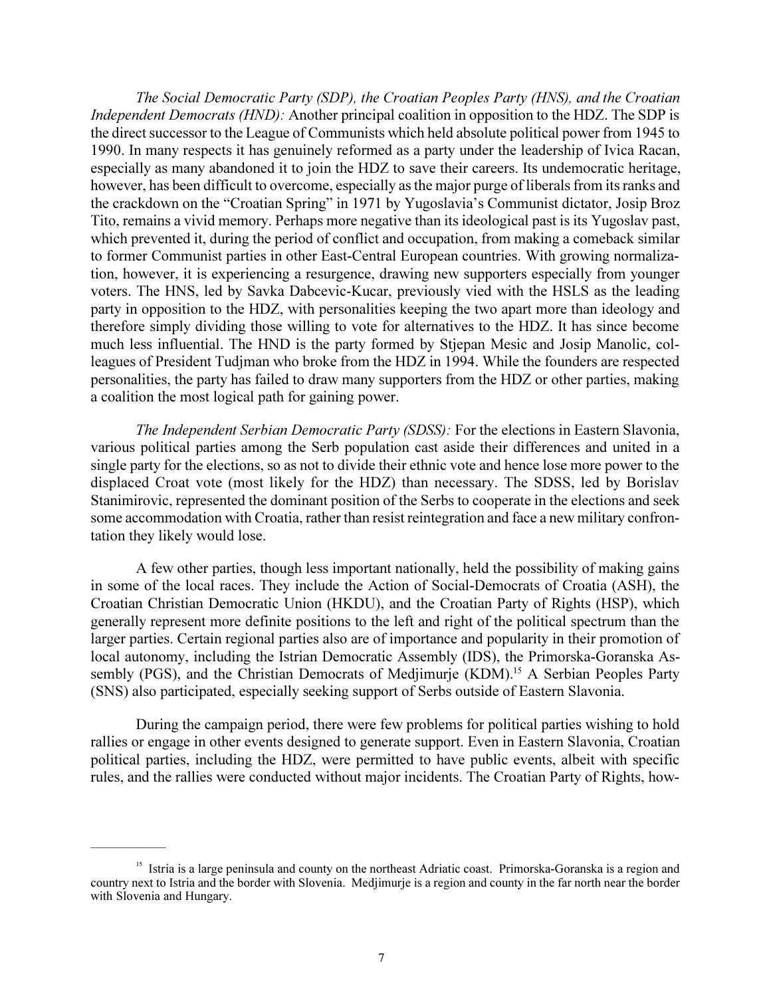*The Social Democratic Party (SDP), the Croatian Peoples Party (HNS), and the Croatian Independent Democrats (HND):* Another principal coalition in opposition to the HDZ. The SDP is the direct successor to the League of Communists which held absolute political power from 1945 to 1990. In many respects it has genuinely reformed as a party under the leadership of Ivica Racan, especially as many abandoned it to join the HDZ to save their careers. Its undemocratic heritage, however, has been difficult to overcome, especially as the major purge of liberals from its ranks and the crackdown on the "Croatian Spring" in 1971 by Yugoslavia's Communist dictator, Josip Broz Tito, remains a vivid memory. Perhaps more negative than its ideological past is its Yugoslav past, which prevented it, during the period of conflict and occupation, from making a comeback similar to former Communist parties in other East-Central European countries. With growing normalization, however, it is experiencing a resurgence, drawing new supporters especially from younger voters. The HNS, led by Savka Dabcevic-Kucar, previously vied with the HSLS as the leading party in opposition to the HDZ, with personalities keeping the two apart more than ideology and therefore simply dividing those willing to vote for alternatives to the HDZ. It has since become much less influential. The HND is the party formed by Stjepan Mesic and Josip Manolic, colleagues of President Tudjman who broke from the HDZ in 1994. While the founders are respected personalities, the party has failed to draw many supporters from the HDZ or other parties, making a coalition the most logical path for gaining power.

*The Independent Serbian Democratic Party (SDSS):* For the elections in Eastern Slavonia, various political parties among the Serb population cast aside their differences and united in a single party for the elections, so as not to divide their ethnic vote and hence lose more power to the displaced Croat vote (most likely for the HDZ) than necessary. The SDSS, led by Borislav Stanimirovic, represented the dominant position of the Serbs to cooperate in the elections and seek some accommodation with Croatia, rather than resist reintegration and face a new military confrontation they likely would lose.

A few other parties, though less important nationally, held the possibility of making gains in some of the local races. They include the Action of Social-Democrats of Croatia (ASH), the Croatian Christian Democratic Union (HKDU), and the Croatian Party of Rights (HSP), which generally represent more definite positions to the left and right of the political spectrum than the larger parties. Certain regional parties also are of importance and popularity in their promotion of local autonomy, including the Istrian Democratic Assembly (IDS), the Primorska-Goranska Assembly (PGS), and the Christian Democrats of Medjimurje (KDM).<sup>15</sup> A Serbian Peoples Party (SNS) also participated, especially seeking support of Serbs outside of Eastern Slavonia.

During the campaign period, there were few problems for political parties wishing to hold rallies or engage in other events designed to generate support. Even in Eastern Slavonia, Croatian political parties, including the HDZ, were permitted to have public events, albeit with specific rules, and the rallies were conducted without major incidents. The Croatian Party of Rights, how-

<sup>&</sup>lt;sup>15</sup> Istria is a large peninsula and county on the northeast Adriatic coast. Primorska-Goranska is a region and country next to Istria and the border with Slovenia. Medjimurje is a region and county in the far north near the border with Slovenia and Hungary.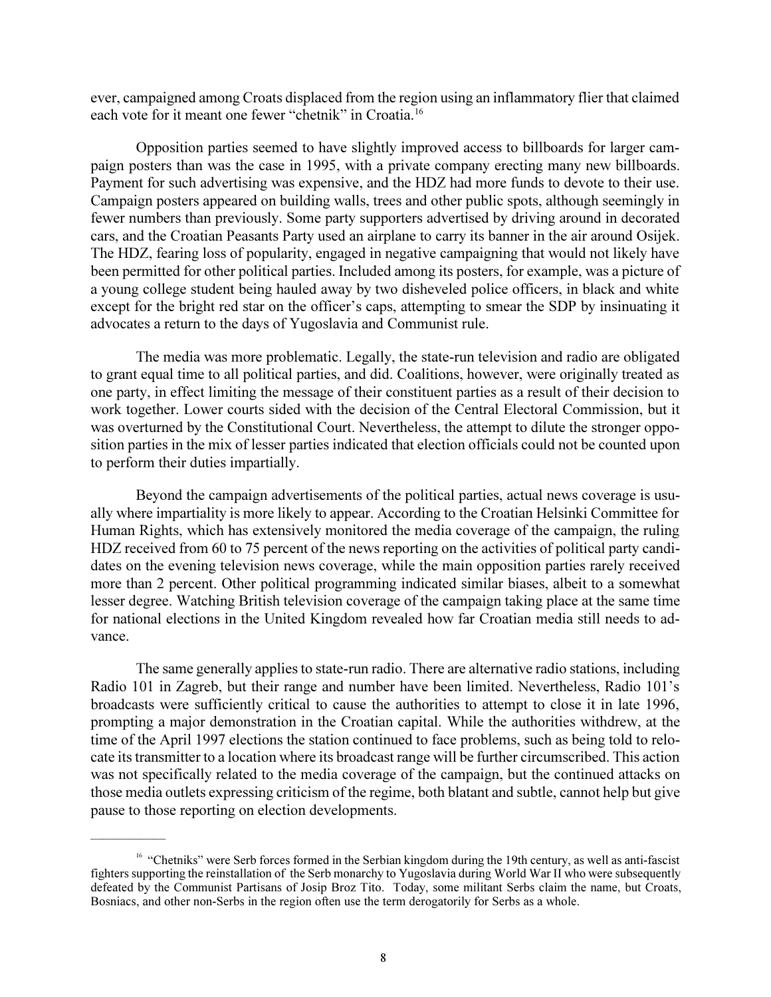ever, campaigned among Croats displaced from the region using an inflammatory flier that claimed each vote for it meant one fewer "chetnik" in Croatia.<sup>16</sup>

Opposition parties seemed to have slightly improved access to billboards for larger campaign posters than was the case in 1995, with a private company erecting many new billboards. Payment for such advertising was expensive, and the HDZ had more funds to devote to their use. Campaign posters appeared on building walls, trees and other public spots, although seemingly in fewer numbers than previously. Some party supporters advertised by driving around in decorated cars, and the Croatian Peasants Party used an airplane to carry its banner in the air around Osijek. The HDZ, fearing loss of popularity, engaged in negative campaigning that would not likely have been permitted for other political parties. Included among its posters, for example, was a picture of a young college student being hauled away by two disheveled police officers, in black and white except for the bright red star on the officer's caps, attempting to smear the SDP by insinuating it advocates a return to the days of Yugoslavia and Communist rule.

The media was more problematic. Legally, the state-run television and radio are obligated to grant equal time to all political parties, and did. Coalitions, however, were originally treated as one party, in effect limiting the message of their constituent parties as a result of their decision to work together. Lower courts sided with the decision of the Central Electoral Commission, but it was overturned by the Constitutional Court. Nevertheless, the attempt to dilute the stronger opposition parties in the mix of lesser parties indicated that election officials could not be counted upon to perform their duties impartially.

Beyond the campaign advertisements of the political parties, actual news coverage is usually where impartiality is more likely to appear. According to the Croatian Helsinki Committee for Human Rights, which has extensively monitored the media coverage of the campaign, the ruling HDZ received from 60 to 75 percent of the news reporting on the activities of political party candidates on the evening television news coverage, while the main opposition parties rarely received more than 2 percent. Other political programming indicated similar biases, albeit to a somewhat lesser degree. Watching British television coverage of the campaign taking place at the same time for national elections in the United Kingdom revealed how far Croatian media still needs to advance.

The same generally applies to state-run radio. There are alternative radio stations, including Radio 101 in Zagreb, but their range and number have been limited. Nevertheless, Radio 101's broadcasts were sufficiently critical to cause the authorities to attempt to close it in late 1996, prompting a major demonstration in the Croatian capital. While the authorities withdrew, at the time of the April 1997 elections the station continued to face problems, such as being told to relocate its transmitter to a location where its broadcast range will be further circumscribed. This action was not specifically related to the media coverage of the campaign, but the continued attacks on those media outlets expressing criticism of the regime, both blatant and subtle, cannot help but give pause to those reporting on election developments.

 $\overline{\phantom{a}}$ 

<sup>&</sup>lt;sup>16</sup> "Chetniks" were Serb forces formed in the Serbian kingdom during the 19th century, as well as anti-fascist fighters supporting the reinstallation of the Serb monarchy to Yugoslavia during World War II who were subsequently defeated by the Communist Partisans of Josip Broz Tito. Today, some militant Serbs claim the name, but Croats, Bosniacs, and other non-Serbs in the region often use the term derogatorily for Serbs as a whole.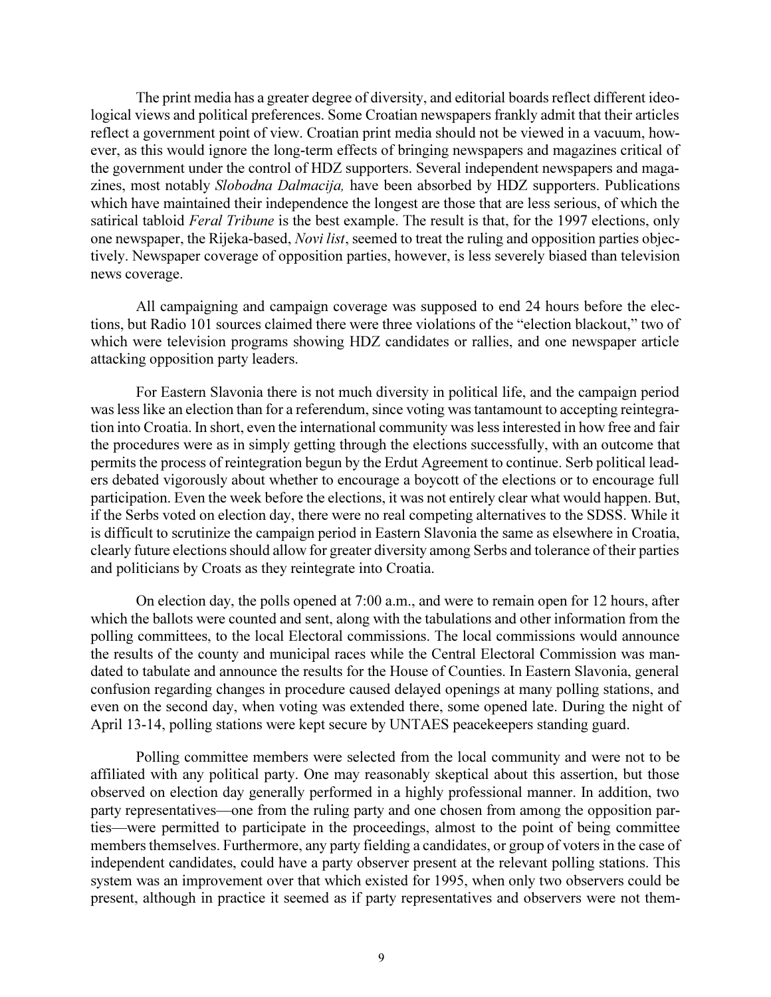The print media has a greater degree of diversity, and editorial boards reflect different ideological views and political preferences. Some Croatian newspapers frankly admit that their articles reflect a government point of view. Croatian print media should not be viewed in a vacuum, however, as this would ignore the long-term effects of bringing newspapers and magazines critical of the government under the control of HDZ supporters. Several independent newspapers and magazines, most notably *Slobodna Dalmacija,* have been absorbed by HDZ supporters. Publications which have maintained their independence the longest are those that are less serious, of which the satirical tabloid *Feral Tribune* is the best example. The result is that, for the 1997 elections, only one newspaper, the Rijeka-based, *Novi list*, seemed to treat the ruling and opposition parties objectively. Newspaper coverage of opposition parties, however, is less severely biased than television news coverage.

All campaigning and campaign coverage was supposed to end 24 hours before the elections, but Radio 101 sources claimed there were three violations of the "election blackout," two of which were television programs showing HDZ candidates or rallies, and one newspaper article attacking opposition party leaders.

For Eastern Slavonia there is not much diversity in political life, and the campaign period was less like an election than for a referendum, since voting was tantamount to accepting reintegration into Croatia. In short, even the international community was less interested in how free and fair the procedures were as in simply getting through the elections successfully, with an outcome that permits the process of reintegration begun by the Erdut Agreement to continue. Serb political leaders debated vigorously about whether to encourage a boycott of the elections or to encourage full participation. Even the week before the elections, it was not entirely clear what would happen. But, if the Serbs voted on election day, there were no real competing alternatives to the SDSS. While it is difficult to scrutinize the campaign period in Eastern Slavonia the same as elsewhere in Croatia, clearly future elections should allow for greater diversity among Serbs and tolerance of their parties and politicians by Croats as they reintegrate into Croatia.

On election day, the polls opened at 7:00 a.m., and were to remain open for 12 hours, after which the ballots were counted and sent, along with the tabulations and other information from the polling committees, to the local Electoral commissions. The local commissions would announce the results of the county and municipal races while the Central Electoral Commission was mandated to tabulate and announce the results for the House of Counties. In Eastern Slavonia, general confusion regarding changes in procedure caused delayed openings at many polling stations, and even on the second day, when voting was extended there, some opened late. During the night of April 13-14, polling stations were kept secure by UNTAES peacekeepers standing guard.

Polling committee members were selected from the local community and were not to be affiliated with any political party. One may reasonably skeptical about this assertion, but those observed on election day generally performed in a highly professional manner. In addition, two party representatives—one from the ruling party and one chosen from among the opposition parties—were permitted to participate in the proceedings, almost to the point of being committee members themselves. Furthermore, any party fielding a candidates, or group of voters in the case of independent candidates, could have a party observer present at the relevant polling stations. This system was an improvement over that which existed for 1995, when only two observers could be present, although in practice it seemed as if party representatives and observers were not them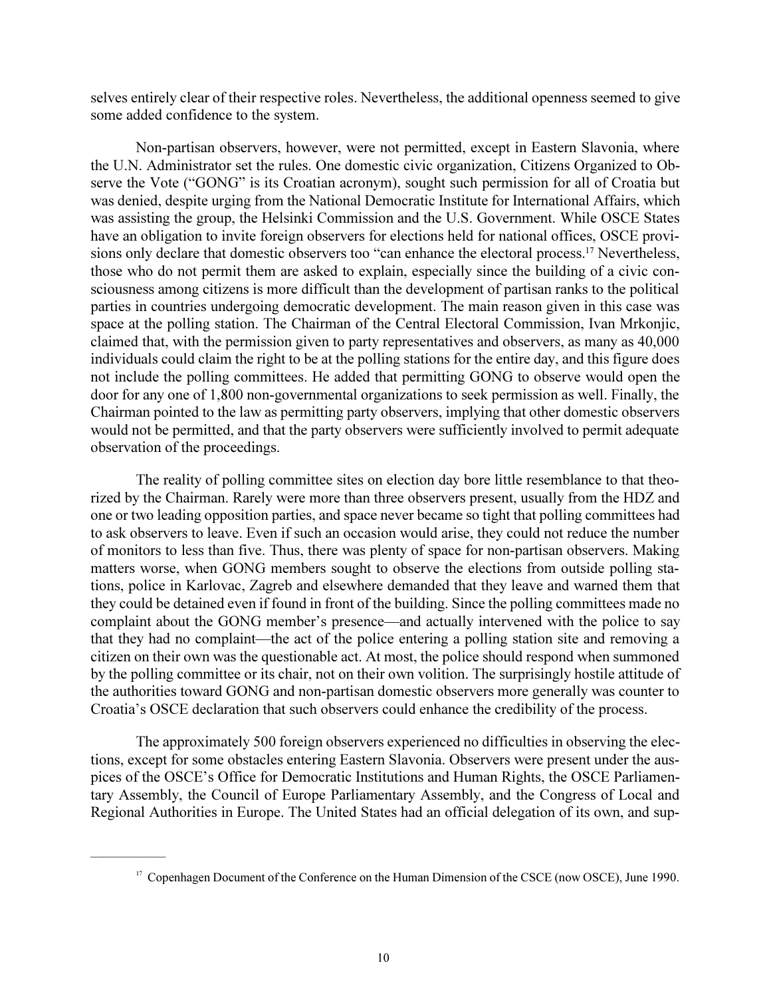selves entirely clear of their respective roles. Nevertheless, the additional openness seemed to give some added confidence to the system.

Non-partisan observers, however, were not permitted, except in Eastern Slavonia, where the U.N. Administrator set the rules. One domestic civic organization, Citizens Organized to Observe the Vote ("GONG" is its Croatian acronym), sought such permission for all of Croatia but was denied, despite urging from the National Democratic Institute for International Affairs, which was assisting the group, the Helsinki Commission and the U.S. Government. While OSCE States have an obligation to invite foreign observers for elections held for national offices, OSCE provisions only declare that domestic observers too "can enhance the electoral process.<sup>17</sup> Nevertheless, those who do not permit them are asked to explain, especially since the building of a civic consciousness among citizens is more difficult than the development of partisan ranks to the political parties in countries undergoing democratic development. The main reason given in this case was space at the polling station. The Chairman of the Central Electoral Commission, Ivan Mrkonjic, claimed that, with the permission given to party representatives and observers, as many as 40,000 individuals could claim the right to be at the polling stations for the entire day, and this figure does not include the polling committees. He added that permitting GONG to observe would open the door for any one of 1,800 non-governmental organizations to seek permission as well. Finally, the Chairman pointed to the law as permitting party observers, implying that other domestic observers would not be permitted, and that the party observers were sufficiently involved to permit adequate observation of the proceedings.

The reality of polling committee sites on election day bore little resemblance to that theorized by the Chairman. Rarely were more than three observers present, usually from the HDZ and one or two leading opposition parties, and space never became so tight that polling committees had to ask observers to leave. Even if such an occasion would arise, they could not reduce the number of monitors to less than five. Thus, there was plenty of space for non-partisan observers. Making matters worse, when GONG members sought to observe the elections from outside polling stations, police in Karlovac, Zagreb and elsewhere demanded that they leave and warned them that they could be detained even if found in front of the building. Since the polling committees made no complaint about the GONG member's presence—and actually intervened with the police to say that they had no complaint—the act of the police entering a polling station site and removing a citizen on their own was the questionable act. At most, the police should respond when summoned by the polling committee or its chair, not on their own volition. The surprisingly hostile attitude of the authorities toward GONG and non-partisan domestic observers more generally was counter to Croatia's OSCE declaration that such observers could enhance the credibility of the process.

The approximately 500 foreign observers experienced no difficulties in observing the elections, except for some obstacles entering Eastern Slavonia. Observers were present under the auspices of the OSCE's Office for Democratic Institutions and Human Rights, the OSCE Parliamentary Assembly, the Council of Europe Parliamentary Assembly, and the Congress of Local and Regional Authorities in Europe. The United States had an official delegation of its own, and sup-

 $\sim$   $\sim$ 

<sup>&</sup>lt;sup>17</sup> Copenhagen Document of the Conference on the Human Dimension of the CSCE (now OSCE), June 1990.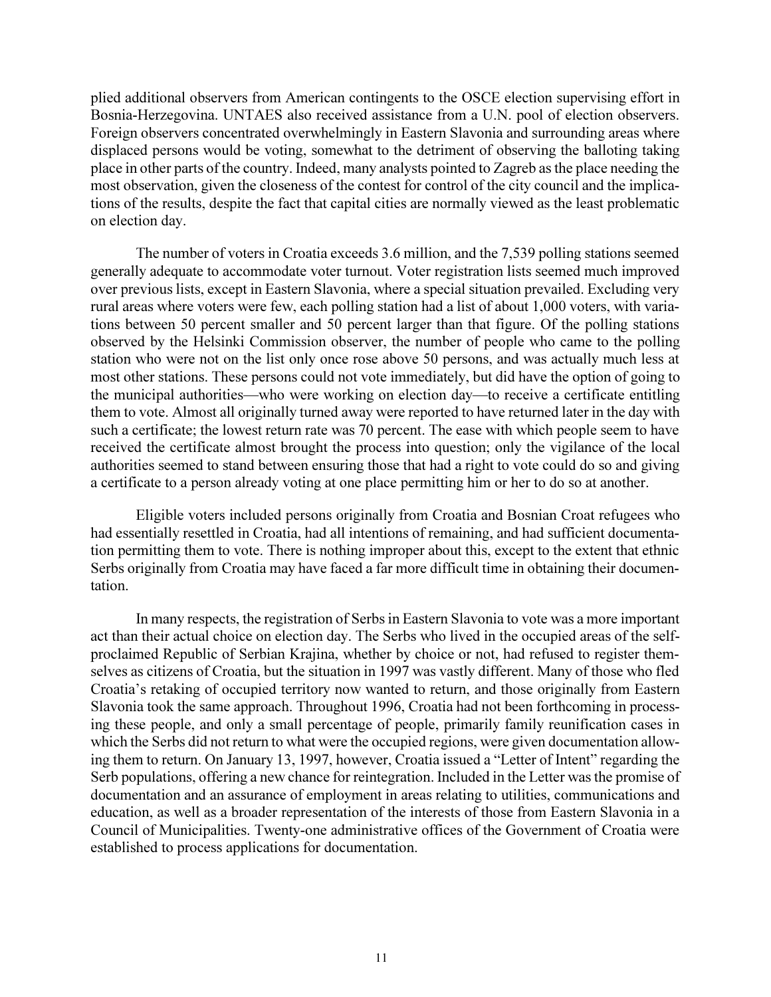plied additional observers from American contingents to the OSCE election supervising effort in Bosnia-Herzegovina. UNTAES also received assistance from a U.N. pool of election observers. Foreign observers concentrated overwhelmingly in Eastern Slavonia and surrounding areas where displaced persons would be voting, somewhat to the detriment of observing the balloting taking place in other parts of the country. Indeed, many analysts pointed to Zagreb as the place needing the most observation, given the closeness of the contest for control of the city council and the implications of the results, despite the fact that capital cities are normally viewed as the least problematic on election day.

The number of voters in Croatia exceeds 3.6 million, and the 7,539 polling stations seemed generally adequate to accommodate voter turnout. Voter registration lists seemed much improved over previous lists, except in Eastern Slavonia, where a special situation prevailed. Excluding very rural areas where voters were few, each polling station had a list of about 1,000 voters, with variations between 50 percent smaller and 50 percent larger than that figure. Of the polling stations observed by the Helsinki Commission observer, the number of people who came to the polling station who were not on the list only once rose above 50 persons, and was actually much less at most other stations. These persons could not vote immediately, but did have the option of going to the municipal authorities—who were working on election day—to receive a certificate entitling them to vote. Almost all originally turned away were reported to have returned later in the day with such a certificate; the lowest return rate was 70 percent. The ease with which people seem to have received the certificate almost brought the process into question; only the vigilance of the local authorities seemed to stand between ensuring those that had a right to vote could do so and giving a certificate to a person already voting at one place permitting him or her to do so at another.

Eligible voters included persons originally from Croatia and Bosnian Croat refugees who had essentially resettled in Croatia, had all intentions of remaining, and had sufficient documentation permitting them to vote. There is nothing improper about this, except to the extent that ethnic Serbs originally from Croatia may have faced a far more difficult time in obtaining their documentation.

In many respects, the registration of Serbs in Eastern Slavonia to vote was a more important act than their actual choice on election day. The Serbs who lived in the occupied areas of the selfproclaimed Republic of Serbian Krajina, whether by choice or not, had refused to register themselves as citizens of Croatia, but the situation in 1997 was vastly different. Many of those who fled Croatia's retaking of occupied territory now wanted to return, and those originally from Eastern Slavonia took the same approach. Throughout 1996, Croatia had not been forthcoming in processing these people, and only a small percentage of people, primarily family reunification cases in which the Serbs did not return to what were the occupied regions, were given documentation allowing them to return. On January 13, 1997, however, Croatia issued a "Letter of Intent" regarding the Serb populations, offering a new chance for reintegration. Included in the Letter was the promise of documentation and an assurance of employment in areas relating to utilities, communications and education, as well as a broader representation of the interests of those from Eastern Slavonia in a Council of Municipalities. Twenty-one administrative offices of the Government of Croatia were established to process applications for documentation.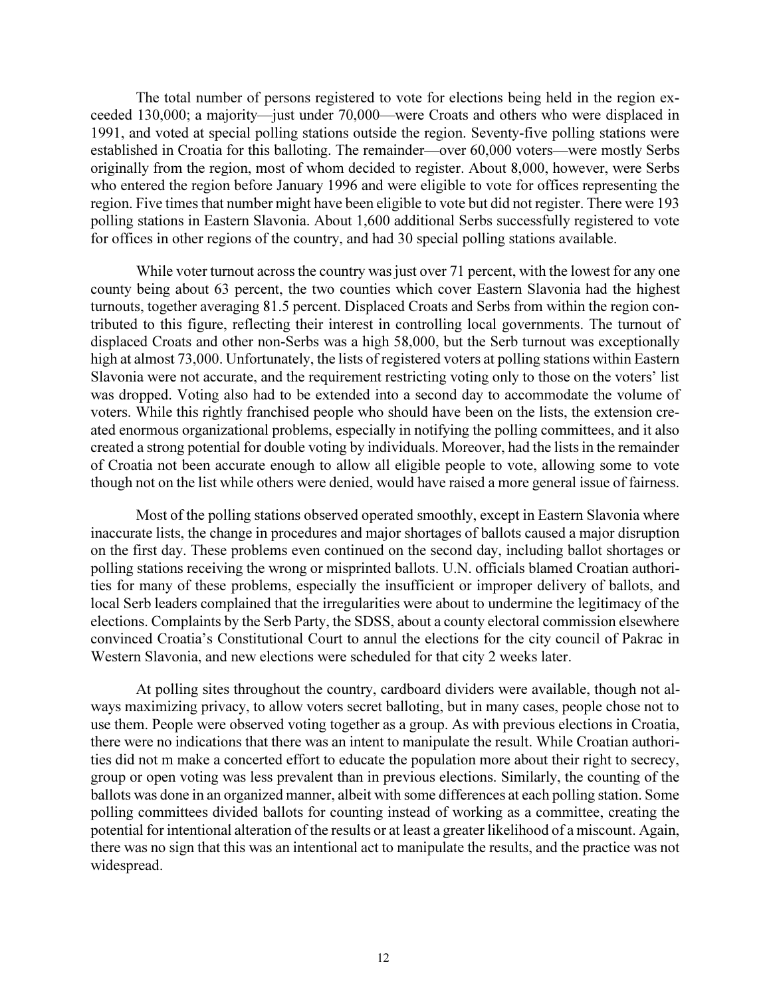The total number of persons registered to vote for elections being held in the region exceeded 130,000; a majority—just under 70,000—were Croats and others who were displaced in 1991, and voted at special polling stations outside the region. Seventy-five polling stations were established in Croatia for this balloting. The remainder—over 60,000 voters—were mostly Serbs originally from the region, most of whom decided to register. About 8,000, however, were Serbs who entered the region before January 1996 and were eligible to vote for offices representing the region. Five times that number might have been eligible to vote but did not register. There were 193 polling stations in Eastern Slavonia. About 1,600 additional Serbs successfully registered to vote for offices in other regions of the country, and had 30 special polling stations available.

While voter turnout across the country was just over 71 percent, with the lowest for any one county being about 63 percent, the two counties which cover Eastern Slavonia had the highest turnouts, together averaging 81.5 percent. Displaced Croats and Serbs from within the region contributed to this figure, reflecting their interest in controlling local governments. The turnout of displaced Croats and other non-Serbs was a high 58,000, but the Serb turnout was exceptionally high at almost 73,000. Unfortunately, the lists of registered voters at polling stations within Eastern Slavonia were not accurate, and the requirement restricting voting only to those on the voters' list was dropped. Voting also had to be extended into a second day to accommodate the volume of voters. While this rightly franchised people who should have been on the lists, the extension created enormous organizational problems, especially in notifying the polling committees, and it also created a strong potential for double voting by individuals. Moreover, had the lists in the remainder of Croatia not been accurate enough to allow all eligible people to vote, allowing some to vote though not on the list while others were denied, would have raised a more general issue of fairness.

Most of the polling stations observed operated smoothly, except in Eastern Slavonia where inaccurate lists, the change in procedures and major shortages of ballots caused a major disruption on the first day. These problems even continued on the second day, including ballot shortages or polling stations receiving the wrong or misprinted ballots. U.N. officials blamed Croatian authorities for many of these problems, especially the insufficient or improper delivery of ballots, and local Serb leaders complained that the irregularities were about to undermine the legitimacy of the elections. Complaints by the Serb Party, the SDSS, about a county electoral commission elsewhere convinced Croatia's Constitutional Court to annul the elections for the city council of Pakrac in Western Slavonia, and new elections were scheduled for that city 2 weeks later.

At polling sites throughout the country, cardboard dividers were available, though not always maximizing privacy, to allow voters secret balloting, but in many cases, people chose not to use them. People were observed voting together as a group. As with previous elections in Croatia, there were no indications that there was an intent to manipulate the result. While Croatian authorities did not m make a concerted effort to educate the population more about their right to secrecy, group or open voting was less prevalent than in previous elections. Similarly, the counting of the ballots was done in an organized manner, albeit with some differences at each polling station. Some polling committees divided ballots for counting instead of working as a committee, creating the potential for intentional alteration of the results or at least a greater likelihood of a miscount. Again, there was no sign that this was an intentional act to manipulate the results, and the practice was not widespread.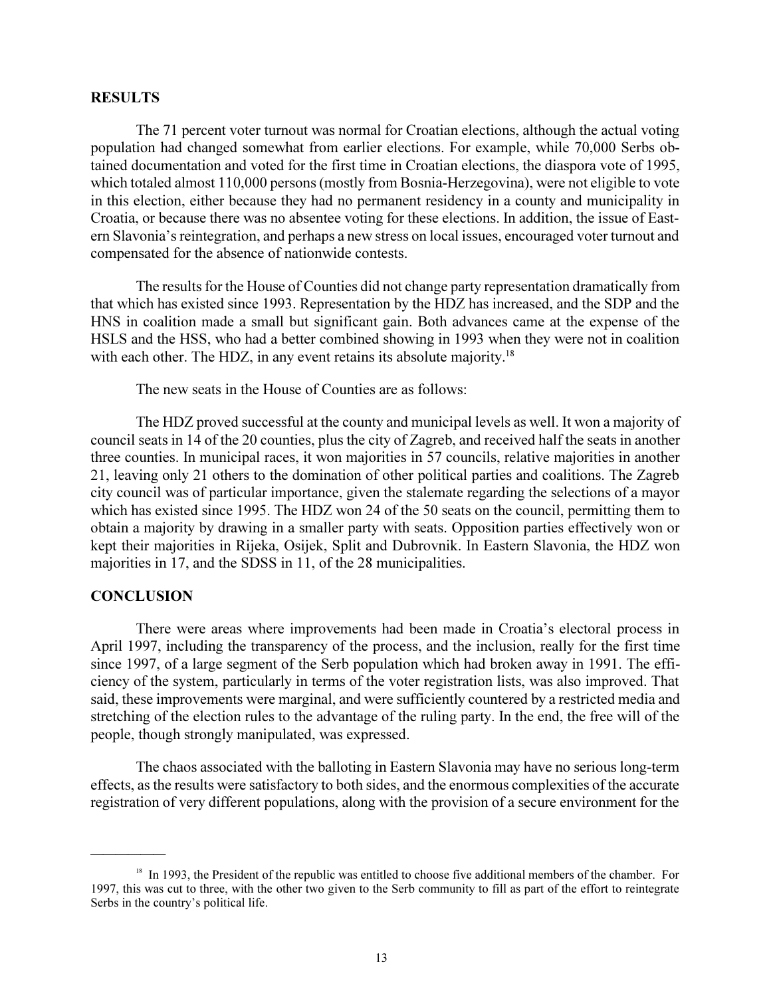## **RESULTS**

The 71 percent voter turnout was normal for Croatian elections, although the actual voting population had changed somewhat from earlier elections. For example, while 70,000 Serbs obtained documentation and voted for the first time in Croatian elections, the diaspora vote of 1995, which totaled almost 110,000 persons (mostly from Bosnia-Herzegovina), were not eligible to vote in this election, either because they had no permanent residency in a county and municipality in Croatia, or because there was no absentee voting for these elections. In addition, the issue of Eastern Slavonia's reintegration, and perhaps a new stress on local issues, encouraged voter turnout and compensated for the absence of nationwide contests.

The results for the House of Counties did not change party representation dramatically from that which has existed since 1993. Representation by the HDZ has increased, and the SDP and the HNS in coalition made a small but significant gain. Both advances came at the expense of the HSLS and the HSS, who had a better combined showing in 1993 when they were not in coalition with each other. The HDZ, in any event retains its absolute majority.<sup>18</sup>

The new seats in the House of Counties are as follows:

The HDZ proved successful at the county and municipal levels as well. It won a majority of council seats in 14 of the 20 counties, plus the city of Zagreb, and received half the seats in another three counties. In municipal races, it won majorities in 57 councils, relative majorities in another 21, leaving only 21 others to the domination of other political parties and coalitions. The Zagreb city council was of particular importance, given the stalemate regarding the selections of a mayor which has existed since 1995. The HDZ won 24 of the 50 seats on the council, permitting them to obtain a majority by drawing in a smaller party with seats. Opposition parties effectively won or kept their majorities in Rijeka, Osijek, Split and Dubrovnik. In Eastern Slavonia, the HDZ won majorities in 17, and the SDSS in 11, of the 28 municipalities.

## **CONCLUSION**

 $\overline{\phantom{a}}$ 

There were areas where improvements had been made in Croatia's electoral process in April 1997, including the transparency of the process, and the inclusion, really for the first time since 1997, of a large segment of the Serb population which had broken away in 1991. The efficiency of the system, particularly in terms of the voter registration lists, was also improved. That said, these improvements were marginal, and were sufficiently countered by a restricted media and stretching of the election rules to the advantage of the ruling party. In the end, the free will of the people, though strongly manipulated, was expressed.

The chaos associated with the balloting in Eastern Slavonia may have no serious long-term effects, as the results were satisfactory to both sides, and the enormous complexities of the accurate registration of very different populations, along with the provision of a secure environment for the

<sup>&</sup>lt;sup>18</sup> In 1993, the President of the republic was entitled to choose five additional members of the chamber. For 1997, this was cut to three, with the other two given to the Serb community to fill as part of the effort to reintegrate Serbs in the country's political life.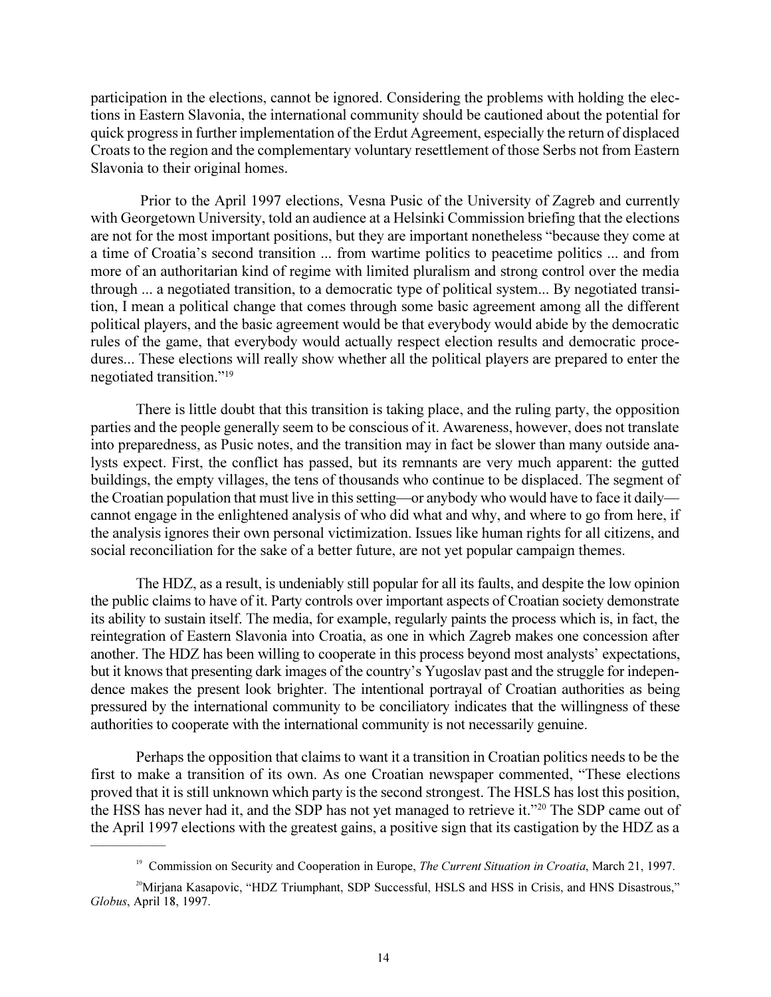participation in the elections, cannot be ignored. Considering the problems with holding the elections in Eastern Slavonia, the international community should be cautioned about the potential for quick progress in further implementation of the Erdut Agreement, especially the return of displaced Croats to the region and the complementary voluntary resettlement of those Serbs not from Eastern Slavonia to their original homes.

 Prior to the April 1997 elections, Vesna Pusic of the University of Zagreb and currently with Georgetown University, told an audience at a Helsinki Commission briefing that the elections are not for the most important positions, but they are important nonetheless "because they come at a time of Croatia's second transition ... from wartime politics to peacetime politics ... and from more of an authoritarian kind of regime with limited pluralism and strong control over the media through ... a negotiated transition, to a democratic type of political system... By negotiated transition, I mean a political change that comes through some basic agreement among all the different political players, and the basic agreement would be that everybody would abide by the democratic rules of the game, that everybody would actually respect election results and democratic procedures... These elections will really show whether all the political players are prepared to enter the negotiated transition."<sup>19</sup>

There is little doubt that this transition is taking place, and the ruling party, the opposition parties and the people generally seem to be conscious of it. Awareness, however, does not translate into preparedness, as Pusic notes, and the transition may in fact be slower than many outside analysts expect. First, the conflict has passed, but its remnants are very much apparent: the gutted buildings, the empty villages, the tens of thousands who continue to be displaced. The segment of the Croatian population that must live in this setting—or anybody who would have to face it daily cannot engage in the enlightened analysis of who did what and why, and where to go from here, if the analysis ignores their own personal victimization. Issues like human rights for all citizens, and social reconciliation for the sake of a better future, are not yet popular campaign themes.

The HDZ, as a result, is undeniably still popular for all its faults, and despite the low opinion the public claims to have of it. Party controls over important aspects of Croatian society demonstrate its ability to sustain itself. The media, for example, regularly paints the process which is, in fact, the reintegration of Eastern Slavonia into Croatia, as one in which Zagreb makes one concession after another. The HDZ has been willing to cooperate in this process beyond most analysts' expectations, but it knows that presenting dark images of the country's Yugoslav past and the struggle for independence makes the present look brighter. The intentional portrayal of Croatian authorities as being pressured by the international community to be conciliatory indicates that the willingness of these authorities to cooperate with the international community is not necessarily genuine.

Perhaps the opposition that claims to want it a transition in Croatian politics needs to be the first to make a transition of its own. As one Croatian newspaper commented, "These elections proved that it is still unknown which party is the second strongest. The HSLS has lost this position, the HSS has never had it, and the SDP has not yet managed to retrieve it."<sup>20</sup> The SDP came out of the April 1997 elections with the greatest gains, a positive sign that its castigation by the HDZ as a

 $\sim$   $\sim$ 

<sup>&</sup>lt;sup>19</sup> Commission on Security and Cooperation in Europe, *The Current Situation in Croatia*, March 21, 1997.

<sup>&</sup>lt;sup>20</sup>Mirjana Kasapovic, "HDZ Triumphant, SDP Successful, HSLS and HSS in Crisis, and HNS Disastrous," *Globus*, April 18, 1997.